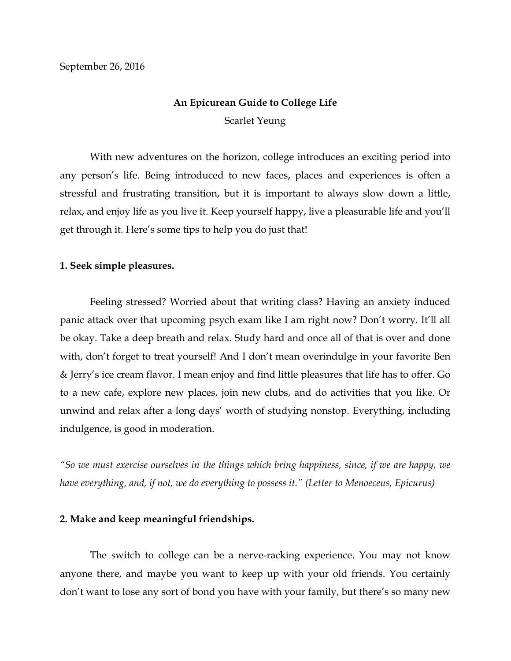# **An Epicurean Guide to College Life**

Scarlet Yeung

With new adventures on the horizon, college introduces an exciting period into any person's life. Being introduced to new faces, places and experiences is often a stressful and frustrating transition, but it is important to always slow down a little, relax, and enjoy life as you live it. Keep yourself happy, live a pleasurable life and you'll get through it. Here's some tips to help you do just that!

# **1. Seek simple pleasures.**

Feeling stressed? Worried about that writing class? Having an anxiety induced panic attack over that upcoming psych exam like I am right now? Don't worry. It'll all be okay. Take a deep breath and relax. Study hard and once all of that is over and done with, don't forget to treat yourself! And I don't mean overindulge in your favorite Ben & Jerry's ice cream flavor. I mean enjoy and find little pleasures that life has to offer. Go to a new cafe, explore new places, join new clubs, and do activities that you like. Or unwind and relax after a long days' worth of studying nonstop. Everything, including indulgence, is good in moderation.

*"So we must exercise ourselves in the things which bring happiness, since, if we are happy, we have everything, and, if not, we do everything to possess it." (Letter to Menoeceus, Epicurus)* 

# **2. Make and keep meaningful friendships.**

The switch to college can be a nerve-racking experience. You may not know anyone there, and maybe you want to keep up with your old friends. You certainly don't want to lose any sort of bond you have with your family, but there's so many new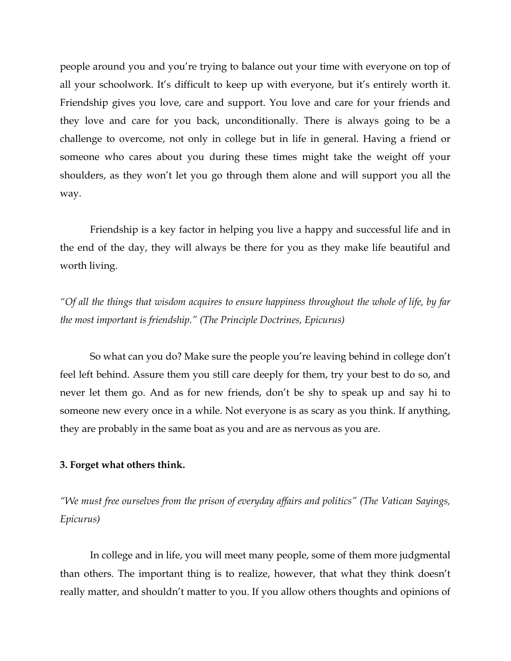people around you and you're trying to balance out your time with everyone on top of all your schoolwork. It's difficult to keep up with everyone, but it's entirely worth it. Friendship gives you love, care and support. You love and care for your friends and they love and care for you back, unconditionally. There is always going to be a challenge to overcome, not only in college but in life in general. Having a friend or someone who cares about you during these times might take the weight off your shoulders, as they won't let you go through them alone and will support you all the way.

Friendship is a key factor in helping you live a happy and successful life and in the end of the day, they will always be there for you as they make life beautiful and worth living.

*"Of all the things that wisdom acquires to ensure happiness throughout the whole of life, by far the most important is friendship." (The Principle Doctrines, Epicurus)*

So what can you do? Make sure the people you're leaving behind in college don't feel left behind. Assure them you still care deeply for them, try your best to do so, and never let them go. And as for new friends, don't be shy to speak up and say hi to someone new every once in a while. Not everyone is as scary as you think. If anything, they are probably in the same boat as you and are as nervous as you are.

#### **3. Forget what others think.**

*"We must free ourselves from the prison of everyday affairs and politics" (The Vatican Sayings, Epicurus)*

In college and in life, you will meet many people, some of them more judgmental than others. The important thing is to realize, however, that what they think doesn't really matter, and shouldn't matter to you. If you allow others thoughts and opinions of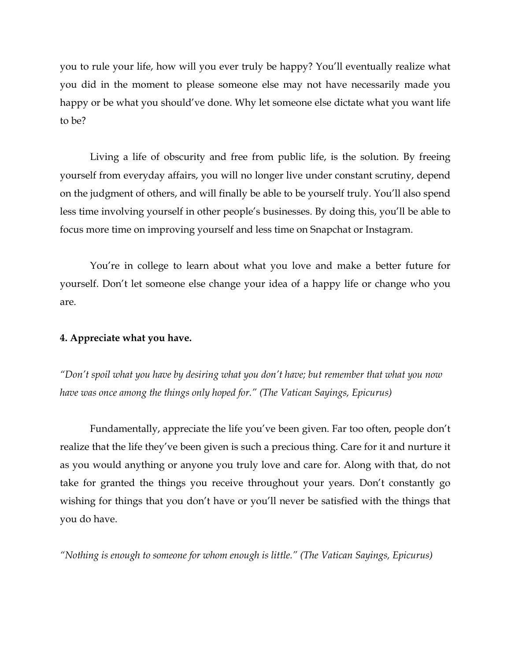you to rule your life, how will you ever truly be happy? You'll eventually realize what you did in the moment to please someone else may not have necessarily made you happy or be what you should've done. Why let someone else dictate what you want life to be?

Living a life of obscurity and free from public life, is the solution. By freeing yourself from everyday affairs, you will no longer live under constant scrutiny, depend on the judgment of others, and will finally be able to be yourself truly. You'll also spend less time involving yourself in other people's businesses. By doing this, you'll be able to focus more time on improving yourself and less time on Snapchat or Instagram.

You're in college to learn about what you love and make a better future for yourself. Don't let someone else change your idea of a happy life or change who you are.

## **4. Appreciate what you have.**

*"Don't spoil what you have by desiring what you don't have; but remember that what you now have was once among the things only hoped for." (The Vatican Sayings, Epicurus)* 

Fundamentally, appreciate the life you've been given. Far too often, people don't realize that the life they've been given is such a precious thing. Care for it and nurture it as you would anything or anyone you truly love and care for. Along with that, do not take for granted the things you receive throughout your years. Don't constantly go wishing for things that you don't have or you'll never be satisfied with the things that you do have.

*"Nothing is enough to someone for whom enough is little." (The Vatican Sayings, Epicurus)*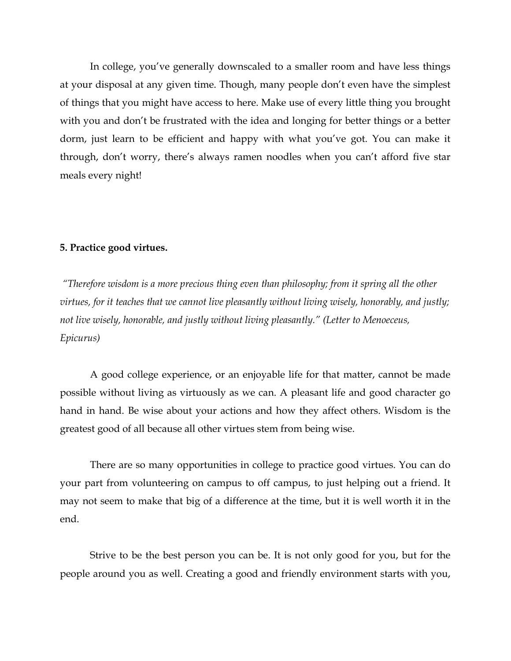In college, you've generally downscaled to a smaller room and have less things at your disposal at any given time. Though, many people don't even have the simplest of things that you might have access to here. Make use of every little thing you brought with you and don't be frustrated with the idea and longing for better things or a better dorm, just learn to be efficient and happy with what you've got. You can make it through, don't worry, there's always ramen noodles when you can't afford five star meals every night!

## **5. Practice good virtues.**

*"Therefore wisdom is a more precious thing even than philosophy; from it spring all the other virtues, for it teaches that we cannot live pleasantly without living wisely, honorably, and justly; not live wisely, honorable, and justly without living pleasantly." (Letter to Menoeceus, Epicurus)*

A good college experience, or an enjoyable life for that matter, cannot be made possible without living as virtuously as we can. A pleasant life and good character go hand in hand. Be wise about your actions and how they affect others. Wisdom is the greatest good of all because all other virtues stem from being wise.

There are so many opportunities in college to practice good virtues. You can do your part from volunteering on campus to off campus, to just helping out a friend. It may not seem to make that big of a difference at the time, but it is well worth it in the end.

Strive to be the best person you can be. It is not only good for you, but for the people around you as well. Creating a good and friendly environment starts with you,